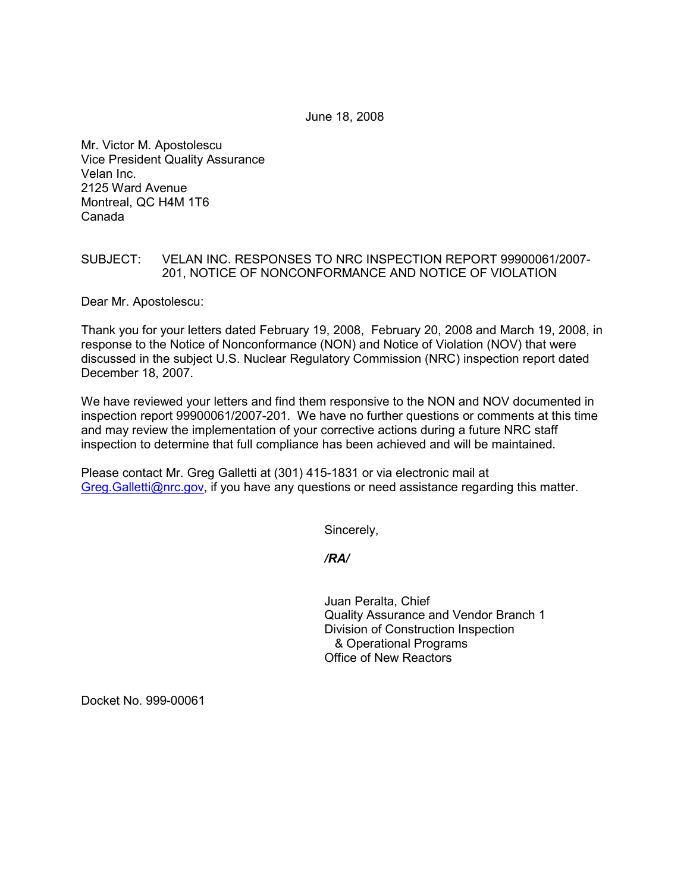June 18, 2008

Mr. Victor M. Apostolescu Vice President Quality Assurance Velan Inc. 2125 Ward Avenue Montreal, QC H4M 1T6 Canada

## SUBJECT: VELAN INC. RESPONSES TO NRC INSPECTION REPORT 99900061/2007- 201, NOTICE OF NONCONFORMANCE AND NOTICE OF VIOLATION

Dear Mr. Apostolescu:

Thank you for your letters dated February 19, 2008, February 20, 2008 and March 19, 2008, in response to the Notice of Nonconformance (NON) and Notice of Violation (NOV) that were discussed in the subject U.S. Nuclear Regulatory Commission (NRC) inspection report dated December 18, 2007.

We have reviewed your letters and find them responsive to the NON and NOV documented in inspection report 99900061/2007-201. We have no further questions or comments at this time and may review the implementation of your corrective actions during a future NRC staff inspection to determine that full compliance has been achieved and will be maintained.

Please contact Mr. Greg Galletti at (301) 415-1831 or via electronic mail at Greg.Galletti@nrc.gov, if you have any questions or need assistance regarding this matter.

Sincerely,

*/RA/* 

Juan Peralta, Chief Quality Assurance and Vendor Branch 1 Division of Construction Inspection & Operational Programs Office of New Reactors

Docket No. 999-00061